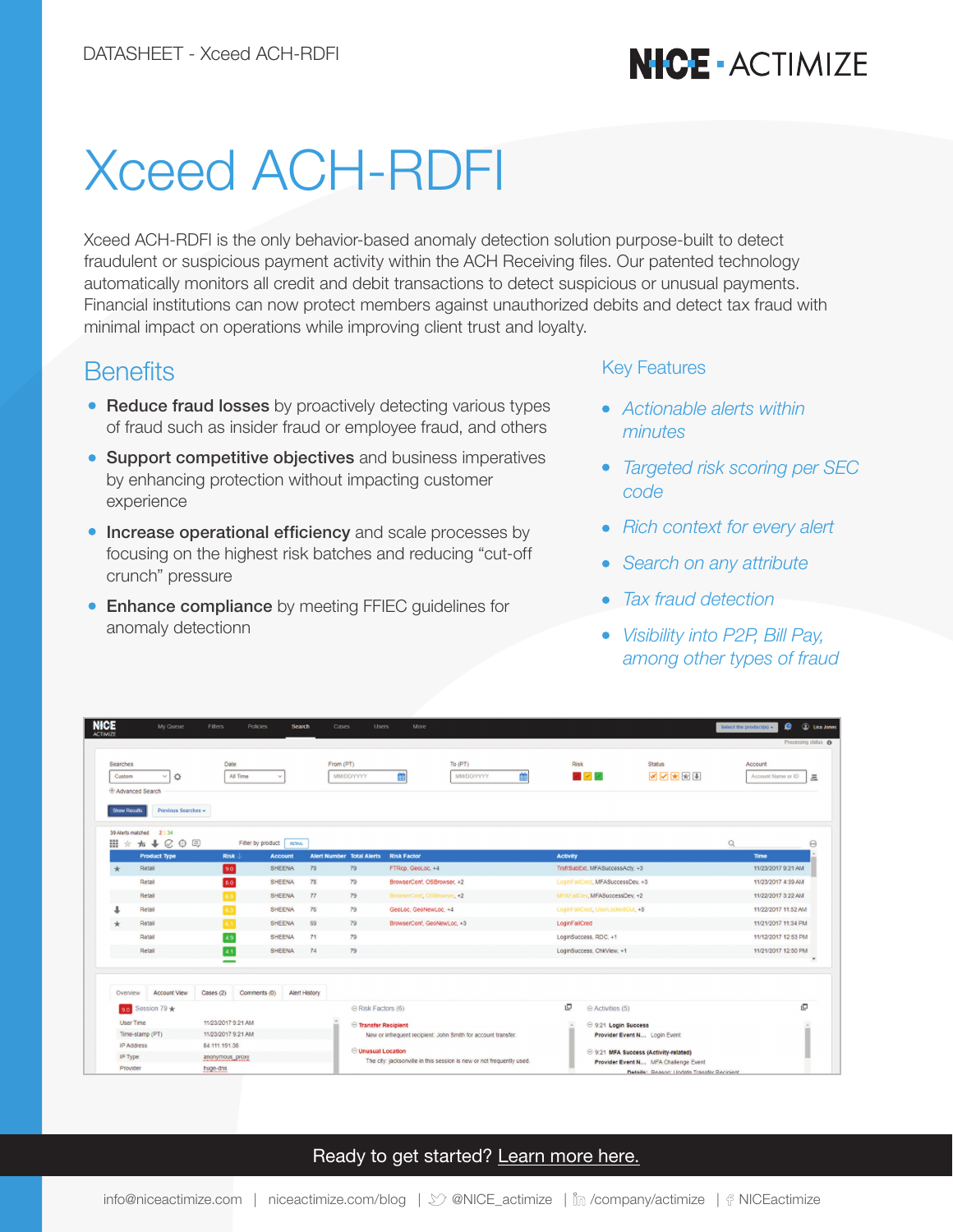# **NICE - ACTIMIZE**

# Xceed ACH-RDFI

Xceed ACH-RDFI is the only behavior-based anomaly detection solution purpose-built to detect fraudulent or suspicious payment activity within the ACH Receiving files. Our patented technology automatically monitors all credit and debit transactions to detect suspicious or unusual payments. Financial institutions can now protect members against unauthorized debits and detect tax fraud with minimal impact on operations while improving client trust and loyalty.

#### **Benefits**

- Reduce fraud losses by proactively detecting various types of fraud such as insider fraud or employee fraud, and others
- **Support competitive objectives** and business imperatives by enhancing protection without impacting customer experience
- **Increase operational efficiency** and scale processes by focusing on the highest risk batches and reducing "cut-off crunch" pressure
- **Enhance compliance** by meeting FFIEC guidelines for anomaly detectionn

#### Key Features

- *Actionable alerts within minutes*
- *Targeted risk scoring per SEC code*
- Rich context for every alert
- *Search on any attribute*  $\bullet$
- *Tax fraud detection*
- *Visibility into P2P, Bill Pay, among other types of fraud*

| <b>NICE</b><br><b>ACTIMIZE</b>                 | My Queue                                      | Filters            | <b>Policies</b>          | <b>Search</b>        | Cases<br><b>Users</b>                  | More                                                                  |                                                                             |                                  |                                            | Select the product(s) $\star$                                     | $\bullet$<br><b>D</b> Lisa Jones |
|------------------------------------------------|-----------------------------------------------|--------------------|--------------------------|----------------------|----------------------------------------|-----------------------------------------------------------------------|-----------------------------------------------------------------------------|----------------------------------|--------------------------------------------|-------------------------------------------------------------------|----------------------------------|
|                                                |                                               |                    |                          |                      |                                        |                                                                       |                                                                             |                                  |                                            |                                                                   | Processing status <sup>O</sup>   |
| Searches<br>Custom<br><b>E</b> Advanced Search | O                                             | Date<br>All Time   |                          |                      | From (PT)<br>MM/DD/YYYY                | To $(PT)$<br>簂<br>雦<br>MM/DD/YYYY                                     | <b>Risk</b>                                                                 | $\mathcal{L} \times \mathcal{L}$ | <b>Status</b><br><b>SAKE</b>               | Account<br>Account Name or ID                                     | 是                                |
| <b>Show Results</b><br>39 Alerts matched<br>田  | Previous Searches +<br>2 3 3 4<br>☆ ★ ↓ ⊘ ⊕ 回 |                    | Filter by product RETAIL |                      |                                        |                                                                       |                                                                             |                                  |                                            | $\alpha$                                                          | Θ                                |
|                                                | <b>Product Type</b><br>Retail                 | <b>Risk</b>        | <b>Account</b><br>SHEENA | 79                   | <b>Alert Number Total Alerts</b><br>79 | <b>Risk Factor</b><br>FTRcp, GeoLoc, +4                               | <b>Activity</b>                                                             | TrsfrSubExt, MFASuccessActy, +3  |                                            | Time<br>11/23/2017 9:21 AM                                        |                                  |
| Retail                                         |                                               | 90<br>80           | <b>SHEENA</b>            | 78                   | 79                                     | BrowserConf. OSBrowser. +2                                            |                                                                             | LoginFailCred, MFASuccessDev. +3 |                                            | 11/23/2017 4:39 AM                                                |                                  |
|                                                |                                               |                    |                          |                      |                                        |                                                                       |                                                                             |                                  |                                            |                                                                   |                                  |
| Retail                                         |                                               |                    | SHEENA                   | 77                   | 79                                     | BrowserConf, OSBrowser, +2                                            |                                                                             | MFAFailDev, MFASuccessDev, +2    |                                            | 11/22/2017 3:22 AM                                                |                                  |
|                                                | Retail                                        |                    | SHEENA                   | 76                   | 79                                     | GeoLoc, GeoNewLoc, +4                                                 |                                                                             | LoginFailCred, UserLockedOut, +5 |                                            | 11/22/2017 11:52 AM                                               |                                  |
|                                                | Retail                                        | SHEENA<br>6.1      |                          |                      | 69<br>79<br>71<br>79                   | BrowserConf, GeoNewLoc, +3                                            | LoginFailCred<br>LoginSuccess, RDC, +1                                      |                                  |                                            | 11/21/2017 11:34 PM<br>11/12/2017 12:53 PM<br>11/21/2017 12:50 PM |                                  |
|                                                | 4.9<br>Retail<br>4.1<br>Retail                |                    | <b>SHEENA</b>            |                      |                                        |                                                                       |                                                                             |                                  |                                            |                                                                   |                                  |
|                                                |                                               |                    | SHEENA                   | 74                   | 79                                     |                                                                       | LoginSuccess, ChkView, +1                                                   |                                  |                                            |                                                                   |                                  |
|                                                |                                               |                    |                          |                      |                                        |                                                                       |                                                                             |                                  |                                            |                                                                   |                                  |
| Overview                                       | <b>Account View</b>                           | Cases (2)          | Comments (0)             | <b>Alert History</b> |                                        |                                                                       |                                                                             |                                  |                                            |                                                                   |                                  |
|                                                | 9.0 Session 79 $\star$                        |                    |                          |                      | ⊜ Risk Factors (6)                     |                                                                       | e                                                                           | $\odot$ Activities (5)           |                                            |                                                                   | 叵                                |
| <b>User Time</b>                               |                                               | 11/23/2017 9:21 AM |                          |                      | Transfer Recipient                     |                                                                       | 9:21 Login Success                                                          |                                  |                                            |                                                                   |                                  |
| Time-stamp (PT)                                |                                               | 11/23/2017 9:21 AM |                          |                      |                                        | New or infrequent recipient: John Smith for account transfer.         |                                                                             | Provider Event N Login Event     |                                            |                                                                   |                                  |
| <b>IP Address</b>                              |                                               | 84.111.191.38      |                          |                      | <b>Unusual Location</b>                |                                                                       | S:21 MFA Success (Activity-related)<br>Provider Event N MFA Challenge Event |                                  |                                            |                                                                   |                                  |
| IP Type                                        |                                               | anonymous proxy    |                          |                      |                                        | The city: jacksonville in this session is new or not frequently used. |                                                                             |                                  |                                            |                                                                   |                                  |
| Provider                                       |                                               | huge-dns           |                          |                      |                                        |                                                                       |                                                                             |                                  | Details: Reason: Update Transfer Recipient |                                                                   |                                  |

#### [Ready to get started? Learn more here.](https://www.niceactimize.com/xceed)